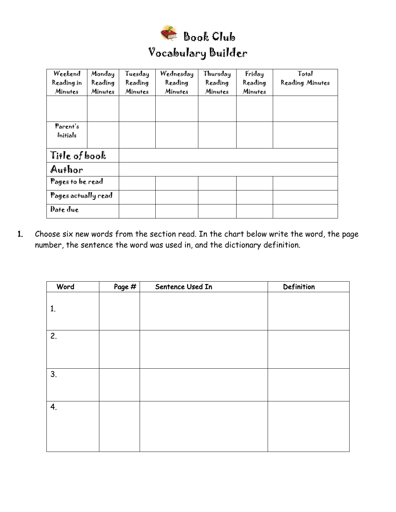

| Weekend             | Monday  | Tuesday | Wednesday | Thursday | Friday  | Total           |
|---------------------|---------|---------|-----------|----------|---------|-----------------|
| Reading in          | Reading | Reading | Reading   | Reading  | Reading | Reading Minutes |
| Minutes             | Minutes | Minutes | Minutes   | Minutes  | Minutes |                 |
|                     |         |         |           |          |         |                 |
|                     |         |         |           |          |         |                 |
|                     |         |         |           |          |         |                 |
| Parent's            |         |         |           |          |         |                 |
| Initials            |         |         |           |          |         |                 |
|                     |         |         |           |          |         |                 |
| Tille of book       |         |         |           |          |         |                 |
| Author              |         |         |           |          |         |                 |
| Pages to be read    |         |         |           |          |         |                 |
| Pages actually read |         |         |           |          |         |                 |
| Date due            |         |         |           |          |         |                 |

1. Choose six new words from the section read. In the chart below write the word, the page number, the sentence the word was used in, and the dictionary definition.

| Word | Page # | Sentence Used In | Definition |
|------|--------|------------------|------------|
| 1.   |        |                  |            |
| 2.   |        |                  |            |
| 3.   |        |                  |            |
| 4.   |        |                  |            |